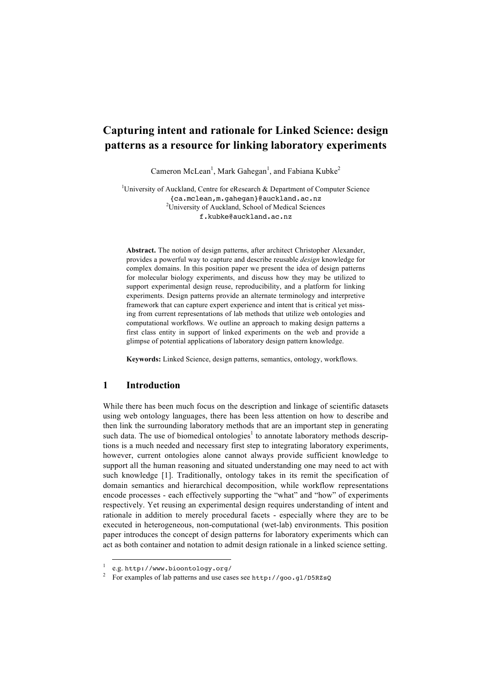# **Capturing intent and rationale for Linked Science: design patterns as a resource for linking laboratory experiments**

Cameron McLean<sup>1</sup>, Mark Gahegan<sup>1</sup>, and Fabiana Kubke<sup>2</sup>

<sup>1</sup>University of Auckland, Centre for eResearch & Department of Computer Science {ca.mclean,m.gahegan}@auckland.ac.nz <sup>2</sup> University of Auckland, School of Medical Sciences f.kubke@auckland.ac.nz

**Abstract.** The notion of design patterns, after architect Christopher Alexander, provides a powerful way to capture and describe reusable *design* knowledge for complex domains. In this position paper we present the idea of design patterns for molecular biology experiments, and discuss how they may be utilized to support experimental design reuse, reproducibility, and a platform for linking experiments. Design patterns provide an alternate terminology and interpretive framework that can capture expert experience and intent that is critical yet missing from current representations of lab methods that utilize web ontologies and computational workflows. We outline an approach to making design patterns a first class entity in support of linked experiments on the web and provide a glimpse of potential applications of laboratory design pattern knowledge.

**Keywords:** Linked Science, design patterns, semantics, ontology, workflows.

## **1 Introduction**

While there has been much focus on the description and linkage of scientific datasets using web ontology languages, there has been less attention on how to describe and then link the surrounding laboratory methods that are an important step in generating such data. The use of biomedical ontologies<sup>1</sup> to annotate laboratory methods descriptions is a much needed and necessary first step to integrating laboratory experiments, however, current ontologies alone cannot always provide sufficient knowledge to support all the human reasoning and situated understanding one may need to act with such knowledge [1]. Traditionally, ontology takes in its remit the specification of domain semantics and hierarchical decomposition, while workflow representations encode processes - each effectively supporting the "what" and "how" of experiments respectively. Yet reusing an experimental design requires understanding of intent and rationale in addition to merely procedural facets - especially where they are to be executed in heterogeneous, non-computational (wet-lab) environments. This position paper introduces the concept of design patterns for laboratory experiments which can act as both container and notation to admit design rationale in a linked science setting.

 $\frac{1}{2}$  e.g. http://www.bioontology.org/

<sup>2</sup> For examples of lab patterns and use cases see http://goo.gl/D5RZsQ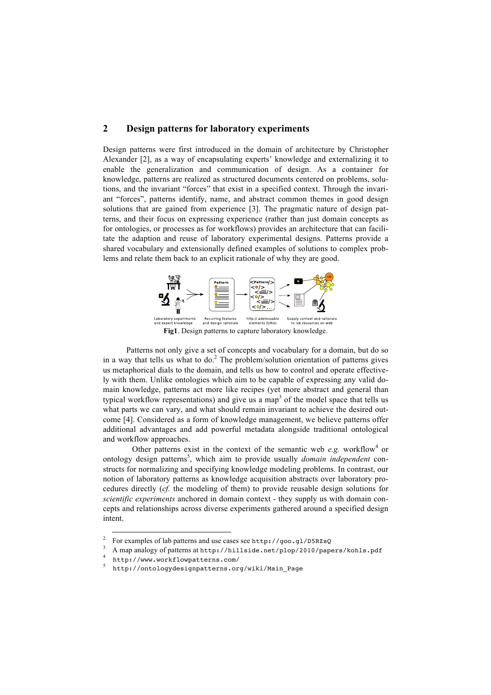## **2 Design patterns for laboratory experiments**

Design patterns were first introduced in the domain of architecture by Christopher Alexander [2], as a way of encapsulating experts' knowledge and externalizing it to enable the generalization and communication of design. As a container for knowledge, patterns are realized as structured documents centered on problems, solutions, and the invariant "forces" that exist in a specified context. Through the invariant "forces", patterns identify, name, and abstract common themes in good design solutions that are gained from experience [3]. The pragmatic nature of design patterns, and their focus on expressing experience (rather than just domain concepts as for ontologies, or processes as for workflows) provides an architecture that can facilitate the adaption and reuse of laboratory experimental designs. Patterns provide a shared vocabulary and extensionally defined examples of solutions to complex problems and relate them back to an explicit rationale of why they are good.



Patterns not only give a set of concepts and vocabulary for a domain, but do so in a way that tells us what to do.<sup>2</sup> The problem/solution orientation of patterns gives us metaphorical dials to the domain, and tells us how to control and operate effectively with them. Unlike ontologies which aim to be capable of expressing any valid domain knowledge, patterns act more like recipes (yet more abstract and general than typical workflow representations) and give us a map<sup>3</sup> of the model space that tells us what parts we can vary, and what should remain invariant to achieve the desired outcome [4]. Considered as a form of knowledge management, we believe patterns offer additional advantages and add powerful metadata alongside traditional ontological and workflow approaches.

Other patterns exist in the context of the semantic web  $e.g.$  workflow<sup>4</sup> or ontology design patterns<sup>5</sup>, which aim to provide usually *domain independent* constructs for normalizing and specifying knowledge modeling problems. In contrast, our notion of laboratory patterns as knowledge acquisition abstracts over laboratory procedures directly (*cf.* the modeling of them) to provide reusable design solutions for *scientific experiments* anchored in domain context - they supply us with domain concepts and relationships across diverse experiments gathered around a specified design intent.

<sup>&</sup>lt;sup>2</sup> For examples of lab patterns and use cases see http://goo.gl/D5RZsQ

A map analogy of patterns at http://hillside.net/plop/2010/papers/kohls.pdf

<sup>4</sup> http://www.workflowpatterns.com/

<sup>5</sup> http://ontologydesignpatterns.org/wiki/Main\_Page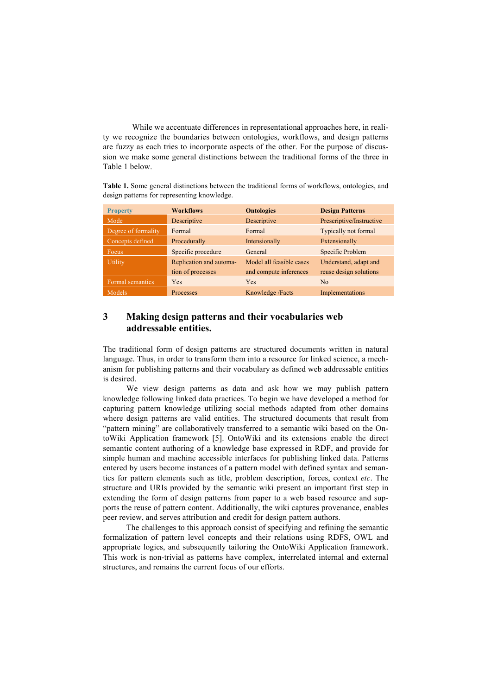While we accentuate differences in representational approaches here, in reality we recognize the boundaries between ontologies, workflows, and design patterns are fuzzy as each tries to incorporate aspects of the other. For the purpose of discussion we make some general distinctions between the traditional forms of the three in Table 1 below.

**Table 1.** Some general distinctions between the traditional forms of workflows, ontologies, and design patterns for representing knowledge.

| <b>Property</b>     | <b>Workflows</b>        | <b>Ontologies</b>        | <b>Design Patterns</b>      |
|---------------------|-------------------------|--------------------------|-----------------------------|
| Mode                | Descriptive             | Descriptive              | Prescriptive/Instructive    |
| Degree of formality | Formal                  | Formal                   | <b>Typically not formal</b> |
| Concepts defined    | Procedurally            | Intensionally            | Extensionally               |
| <b>Focus</b>        | Specific procedure      | General                  | Specific Problem            |
| <b>Utility</b>      | Replication and automa- | Model all feasible cases | Understand, adapt and       |
|                     | tion of processes       | and compute inferences   | reuse design solutions      |
| Formal semantics    | Yes                     | Yes                      | No                          |
| Models              | Processes               | Knowledge /Facts         | Implementations             |

## **3 Making design patterns and their vocabularies web addressable entities.**

The traditional form of design patterns are structured documents written in natural language. Thus, in order to transform them into a resource for linked science, a mechanism for publishing patterns and their vocabulary as defined web addressable entities is desired.

We view design patterns as data and ask how we may publish pattern knowledge following linked data practices. To begin we have developed a method for capturing pattern knowledge utilizing social methods adapted from other domains where design patterns are valid entities. The structured documents that result from "pattern mining" are collaboratively transferred to a semantic wiki based on the OntoWiki Application framework [5]. OntoWiki and its extensions enable the direct semantic content authoring of a knowledge base expressed in RDF, and provide for simple human and machine accessible interfaces for publishing linked data. Patterns entered by users become instances of a pattern model with defined syntax and semantics for pattern elements such as title, problem description, forces, context *etc*. The structure and URIs provided by the semantic wiki present an important first step in extending the form of design patterns from paper to a web based resource and supports the reuse of pattern content. Additionally, the wiki captures provenance, enables peer review, and serves attribution and credit for design pattern authors.

The challenges to this approach consist of specifying and refining the semantic formalization of pattern level concepts and their relations using RDFS, OWL and appropriate logics, and subsequently tailoring the OntoWiki Application framework. This work is non-trivial as patterns have complex, interrelated internal and external structures, and remains the current focus of our efforts.